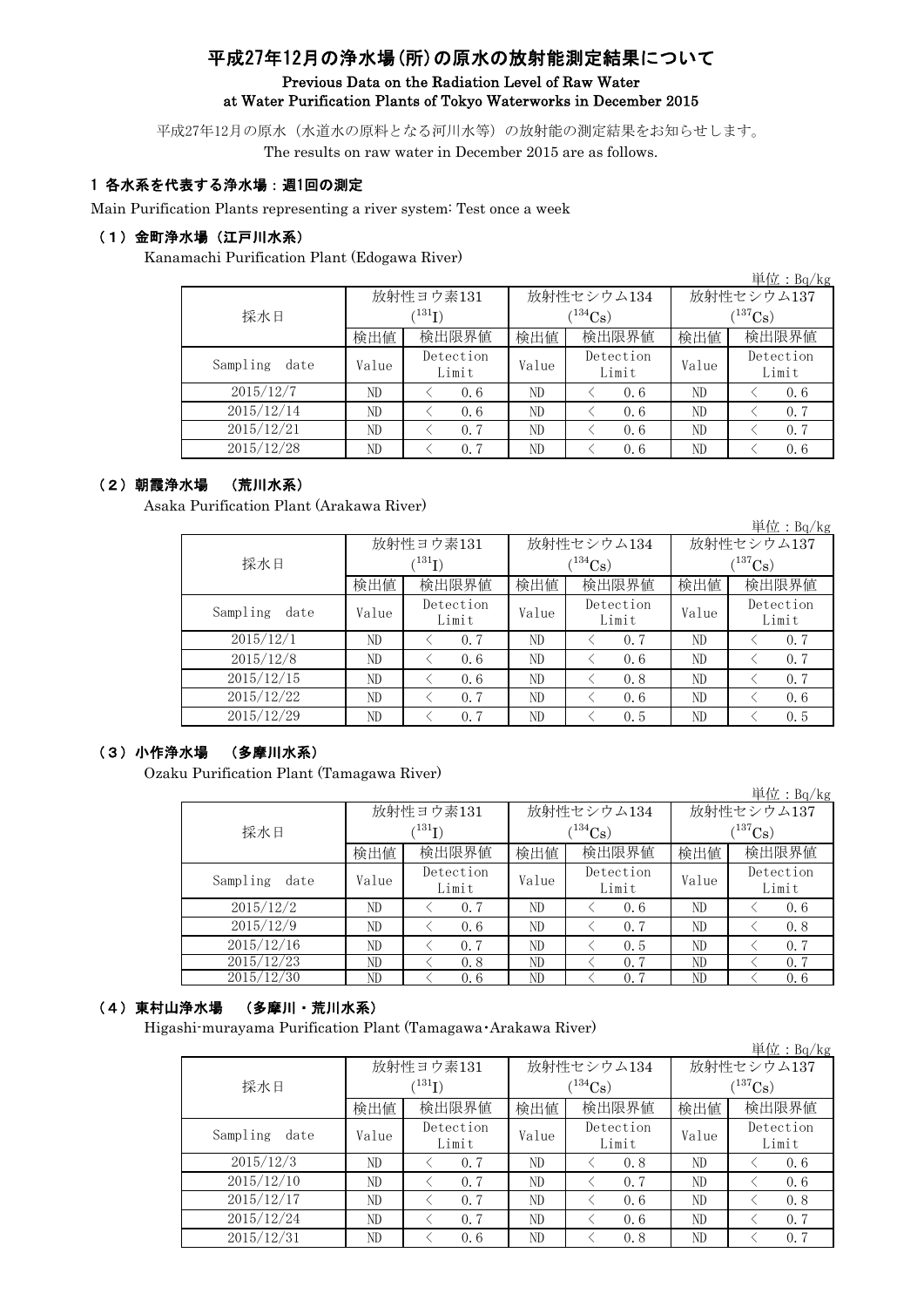# 平成27年12月の浄水場(所)の原水の放射能測定結果について

### Previous Data on the Radiation Level of Raw Water at Water Purification Plants of Tokyo Waterworks in December 2015

平成27年12月の原水(水道水の原料となる河川水等)の放射能の測定結果をお知らせします。 The results on raw water in December 2015 are as follows.

### 1 各水系を代表する浄水場:週1回の測定

Main Purification Plants representing a river system: Test once a week

#### (1)金町浄水場(江戸川水系)

Kanamachi Purification Plant (Edogawa River)

|                  |                            |                    |       |                    |              | 単位:Bq/kg           |  |
|------------------|----------------------------|--------------------|-------|--------------------|--------------|--------------------|--|
|                  |                            | 放射性ヨウ素131          |       | 放射性セシウム134         | 放射性セシウム137   |                    |  |
| 採水日              | $^{\prime131} \mathrm{I})$ |                    |       | $(^{134}Cs)$       | $(^{137}Cs)$ |                    |  |
|                  | 検出値                        | 検出限界値              | 検出値   | 検出限界値              | 検出値          | 検出限界値              |  |
| Sampling<br>date | Value                      | Detection<br>Limit | Value | Detection<br>Limit | Value        | Detection<br>Limit |  |
| 2015/12/7        | ND                         | 0.6                | ND    | 0.6                | ND           | 0.6                |  |
| 2015/12/14       | ND                         | 0.6                | ND    | 0.6                | ND           | 0.7                |  |
| 2015/12/21       | ND.                        | 0.7                | ND    | 0.6                | ND           | 0.7                |  |
| 2015/12/28       | ND.                        | 0.7                | ND    | 0.6                | ND           | 0.6                |  |

### (2)朝霞浄水場 (荒川水系)

Asaka Purification Plant (Arakawa River)

|                  |                            |                    |       |                    |              | 単位: Bq/kg          |  |
|------------------|----------------------------|--------------------|-------|--------------------|--------------|--------------------|--|
|                  |                            | 放射性ヨウ素131          |       | 放射性セシウム134         | 放射性セシウム137   |                    |  |
| 採水日              | $^{\prime131} \mathrm{I})$ |                    |       | $(^{134}Cs)$       | $(^{137}Cs)$ |                    |  |
|                  | 検出値                        | 検出限界値              | 検出値   | 検出限界値              | 検出値          | 検出限界値              |  |
| Sampling<br>date | Value                      | Detection<br>Limit | Value | Detection<br>Limit | Value        | Detection<br>Limit |  |
| 2015/12/1        | ND                         | 0, 7               | ND    | 0.7                | ND           | 0.7                |  |
| 2015/12/8        | ND                         | 0.6                | ND    | 0.6                | ND           | 0.7                |  |
| 2015/12/15       | ND                         | 0.6                | ND    | 0.8                | ND           | 0.7                |  |
| 2015/12/22       | ND                         | 0, 7               | ND    | 0.6                | ND           | 0.6                |  |
| 2015/12/29       | ND                         | 0.7                | ND    | 0.5                | ND           | 0.5                |  |

#### (3)小作浄水場 (多摩川水系)

Ozaku Purification Plant (Tamagawa River)

|                  |       |                    |       |                    |              | 単 <u>位:Bq/kg</u>   |  |
|------------------|-------|--------------------|-------|--------------------|--------------|--------------------|--|
|                  |       | 放射性ヨウ素131          |       | 放射性セシウム134         | 放射性セシウム137   |                    |  |
| 採水日              |       | (131)              |       | $(^{134}Cs)$       | $(^{137}Cs)$ |                    |  |
|                  | 検出値   | 検出限界値              | 検出値   | 検出限界値              | 検出値          | 検出限界値              |  |
| Sampling<br>date | Value | Detection<br>Limit | Value | Detection<br>Limit | Value        | Detection<br>Limit |  |
| 2015/12/2        | ND    | 0.7                | ND    | 0.6                | ND           | 0.6                |  |
| 2015/12/9        | ND    | 0.6                | ND    | 0.7                | ND           | 0.8                |  |
| 2015/12/16       | ND    | 0.7                | ND    | 0.5                | ND           | 0.7                |  |
| 2015/12/23       | ND    | 0.8                | ND    | 0.7                | ND           | 0.7                |  |
| 2015/12/30       | ND    | 0.6                | ND    | 0.7                | ND           | 0.6                |  |

## (4)東村山浄水場 (多摩川・荒川水系)

Higashi-murayama Purification Plant (Tamagawa・Arakawa River)

|                  |             |                    |       |                    |              | $\vert \dot{\Xi} \vert \dot{\Xi}$ : Bq/kg |  |
|------------------|-------------|--------------------|-------|--------------------|--------------|-------------------------------------------|--|
|                  |             | 放射性ヨウ素131          |       | 放射性セシウム134         | 放射性セシウム137   |                                           |  |
| 採水日              | $(^{131}I)$ |                    |       | $(134)$ Cs)        | $(^{137}Cs)$ |                                           |  |
|                  | 検出値         | 検出限界値<br>検出値       |       | 検出限界値              | 検出値          | 検出限界値                                     |  |
| Sampling<br>date | Value       | Detection<br>Limit | Value | Detection<br>Limit | Value        | Detection<br>Limit                        |  |
| 2015/12/3        | ND          | 0.7                | ND    | 0.8                | ND           | 0.6                                       |  |
| 2015/12/10       | ND          | 0.7                | ND    | 0.7                | ND           | 0.6                                       |  |
| 2015/12/17       | ND          | 0.7                | ND    | 0, 6               | ND           | 0.8                                       |  |
| 2015/12/24       | ND          | 0.7                | ND    | 0.6                | ND           | 0.7                                       |  |
| 2015/12/31       | ND          | 0, 6               | ND    | 0.8                | ND           | 0.7                                       |  |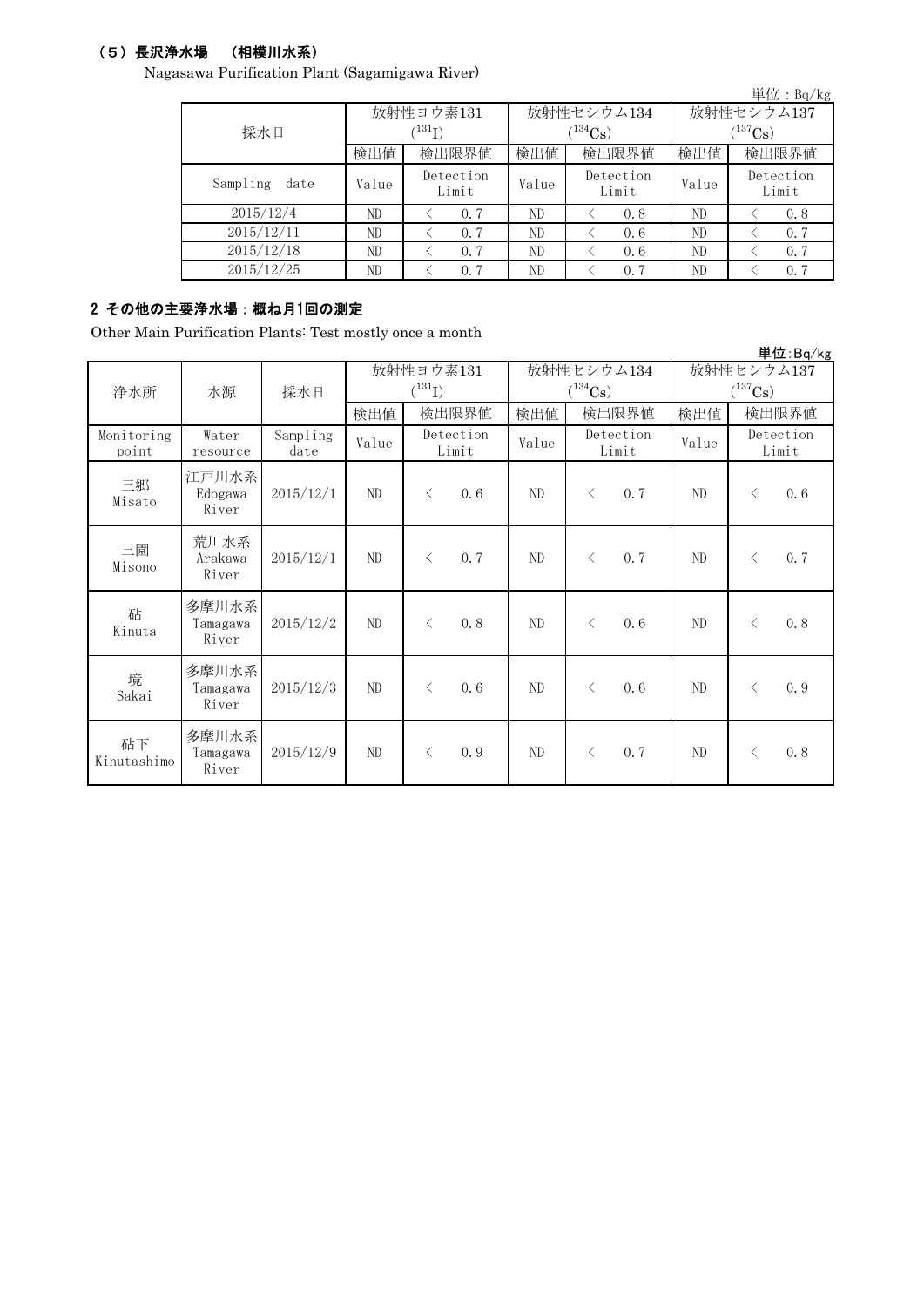## (5)長沢浄水場 (相模川水系)

Nagasawa Purification Plant (Sagamigawa River)

|                  |       |                            |       |                    |                       | 単位: $Bq/kg$        |  |
|------------------|-------|----------------------------|-------|--------------------|-----------------------|--------------------|--|
|                  |       | 放射性ヨウ素131                  |       | 放射性セシウム134         | 放射性セシウム137            |                    |  |
| 採水日              |       | $^{\prime131} \mathrm{I})$ |       | $(134)$ Cs         | $(^{137}\mathrm{Cs})$ |                    |  |
|                  | 検出値   | 検出限界値                      | 検出値   | 検出限界値              | 検出値                   | 検出限界値              |  |
| Sampling<br>date | Value | Detection<br>Limit         | Value | Detection<br>Limit | Value                 | Detection<br>Limit |  |
| 2015/12/4        | ND    | 0.7                        | ND    | 0.8                | ND                    | 0.8                |  |
| 2015/12/11       | ND    | 0.7                        | ND    | 0.6                | ND                    | 0.7                |  |
| 2015/12/18       | ND    | 0.7                        | ND    | 0.6                | ND                    | 0.7                |  |
| 2015/12/25       | ND    | 0.7                        | ND    | 0.7                | ND                    | 0.7                |  |

## 2 その他の主要浄水場:概ね月1回の測定

Other Main Purification Plants: Test mostly once a month

|                     |                            |                  |       |                                     |       |                            |                                     | 単位:Bq/kg           |
|---------------------|----------------------------|------------------|-------|-------------------------------------|-------|----------------------------|-------------------------------------|--------------------|
| 浄水所                 | 採水日<br>水源                  |                  |       | 放射性ヨウ素131<br>$(^{131}I)$            |       | 放射性セシウム134<br>$(^{134}Cs)$ | 放射性セシウム137<br>$(^{137}\mathrm{Cs})$ |                    |
|                     |                            |                  | 検出値   | 検出限界値                               | 検出値   | 検出限界値                      | 検出値                                 | 検出限界値              |
| Monitoring<br>point | Water<br>resource          | Sampling<br>date | Value | Detection<br>Limit                  | Value | Detection<br>Limit         | Value                               | Detection<br>Limit |
| 三郷<br>Misato        | 江戸川水系<br>Edogawa<br>River  | 2015/12/1        | ND    | 0.6<br>$\langle$                    | ND    | 0.7<br>$\langle$           | ND                                  | 0, 6<br>$\langle$  |
| 三園<br>Misono        | 荒川水系<br>Arakawa<br>River   | 2015/12/1        | ND    | 0.7<br>$\langle$                    | ND    | 0.7<br>$\langle$           | ND                                  | 0.7<br>$\langle$   |
| 砧<br>Kinuta         | 多摩川水系<br>Tamagawa<br>River | 2015/12/2        | ND    | 0, 8<br>$\langle$                   | ND    | 0.6<br>$\lt$               | ND                                  | 0.8<br>$\langle$   |
| 境<br>Sakai          | 多摩川水系<br>Tamagawa<br>River | 2015/12/3        | ND    | 0.6<br>$\langle$                    | ND    | 0.6<br>$\langle$           | ND                                  | 0.9<br>$\langle$   |
| 砧下<br>Kinutashimo   | 多摩川水系<br>Tamagawa<br>River | 2015/12/9        | ND    | 0.9<br>$\left\langle \right\rangle$ | ND    | 0.7<br>$\langle$           | ND                                  | 0.8<br>$\langle$   |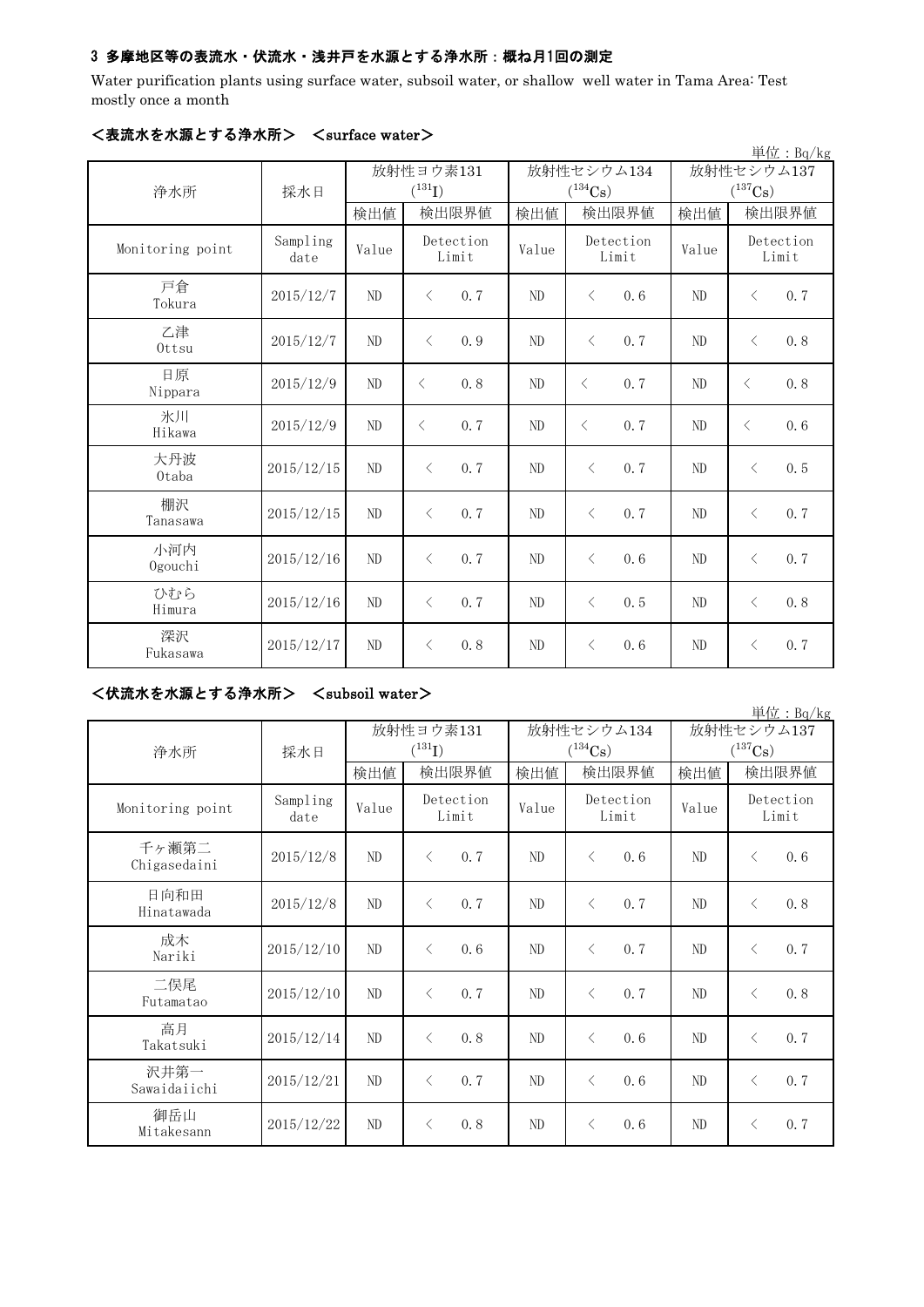## 3 多摩地区等の表流水・伏流水・浅井戸を水源とする浄水所:概ね月1回の測定

Water purification plants using surface water, subsoil water, or shallow well water in Tama Area: Test mostly once a month

|                  |                  |           |                    |       |                       |            | 単位: Bq/kg             |  |
|------------------|------------------|-----------|--------------------|-------|-----------------------|------------|-----------------------|--|
|                  |                  | 放射性ヨウ素131 |                    |       | 放射性セシウム134            | 放射性セシウム137 |                       |  |
| 浄水所              | 採水日              |           | $(^{131}I)$        |       | $(^{134}\mathrm{Cs})$ |            | $(^{137}\mathrm{Cs})$ |  |
|                  |                  | 検出値       | 検出限界値              | 検出値   | 検出限界値                 | 検出値        | 検出限界値                 |  |
| Monitoring point | Sampling<br>date | Value     | Detection<br>Limit | Value | Detection<br>Limit    | Value      | Detection<br>Limit    |  |
| 戸倉<br>Tokura     | 2015/12/7        | ND        | $\langle$<br>0.7   | ND    | 0.6<br>$\langle$      | ND         | 0.7<br>$\lt$          |  |
| 乙津<br>Ottsu      | 2015/12/7        | ND        | $\langle$<br>0.9   | ND    | $\langle$<br>0.7      | $\rm ND$   | 0.8<br>$\lt$          |  |
| 日原<br>Nippara    | 2015/12/9        | ND        | 0.8<br>$\langle$   | ND    | $\langle$<br>0.7      | ND         | 0.8<br>$\lt$          |  |
| 氷川<br>Hikawa     | 2015/12/9        | ND        | 0.7<br>$\langle$   | ND    | $\langle$<br>0.7      | $\rm ND$   | 0.6<br>$\langle$      |  |
| 大丹波<br>0taba     | 2015/12/15       | ND        | 0.7<br>$\langle$   | ND    | 0.7<br>$\langle$      | ND         | 0.5<br>$\lt$          |  |
| 棚沢<br>Tanasawa   | 2015/12/15       | ND        | $\langle$<br>0.7   | ND    | 0.7<br>$\langle$      | ND         | 0.7<br>$\langle$      |  |
| 小河内<br>Ogouchi   | 2015/12/16       | ND        | 0.7<br>$\langle$   | ND    | $\langle$<br>0, 6     | ND         | 0.7<br>$\langle$      |  |
| ひむら<br>Himura    | 2015/12/16       | ND        | 0.7<br>$\langle$   | ND    | 0, 5<br>$\lt$         | ND         | 0.8<br>$\lt$          |  |
| 深沢<br>Fukasawa   | 2015/12/17       | ND        | 0, 8<br>$\langle$  | ND    | 0, 6<br>$\langle$     | ND         | 0, 7<br>$\langle$     |  |

## <表流水を水源とする浄水所> <surface water>

<伏流水を水源とする浄水所> <subsoil water>

|                       |                  |          |                          |          |                                     |                                     | 単位: Bq/kg          |
|-----------------------|------------------|----------|--------------------------|----------|-------------------------------------|-------------------------------------|--------------------|
|                       |                  |          | 放射性ヨウ素131<br>$(^{131}I)$ |          | 放射性セシウム134<br>$(^{134}\mathrm{Cs})$ | 放射性セシウム137<br>$(^{137}\mathrm{Cs})$ |                    |
| 浄水所                   | 採水日              | 検出値      | 検出限界値                    | 検出値      | 検出限界値                               | 検出値                                 | 検出限界値              |
| Monitoring point      | Sampling<br>date | Value    | Detection<br>Limit       | Value    | Detection<br>Limit                  | Value                               | Detection<br>Limit |
| 千ヶ瀬第二<br>Chigasedaini | 2015/12/8        | ND       | 0, 7<br>$\langle$        | ND       | $\langle$<br>0, 6                   | ND                                  | 0.6<br>$\langle$   |
| 日向和田<br>Hinatawada    | 2015/12/8        | ND       | 0, 7<br>$\langle$        | ND       | $\langle$<br>0, 7                   | ND                                  | 0.8<br>$\langle$   |
| 成木<br>Nariki          | 2015/12/10       | ND       | $\langle$<br>0, 6        | ND       | 0, 7<br>$\langle$                   | ND                                  | 0, 7<br>$\langle$  |
| 二俣尾<br>Futamatao      | 2015/12/10       | ND       | 0, 7<br>$\langle$        | ND       | $\langle$<br>0, 7                   | ND                                  | 0.8<br>$\lt$       |
| 高月<br>Takatsuki       | 2015/12/14       | ND       | 0, 8<br>$\langle$        | ND       | 0, 6<br>$\lt$                       | ND                                  | 0.7<br>$\langle$   |
| 沢井第一<br>Sawaidaiichi  | 2015/12/21       | ND       | 0.7<br>$\langle$         | ND       | 0, 6<br>$\langle$                   | ND                                  | 0.7<br>$\langle$   |
| 御岳山<br>Mitakesann     | 2015/12/22       | $\rm ND$ | 0.8<br>$\langle$         | $\rm ND$ | 0, 6<br>$\langle$                   | ND                                  | 0.7<br>$\langle$   |